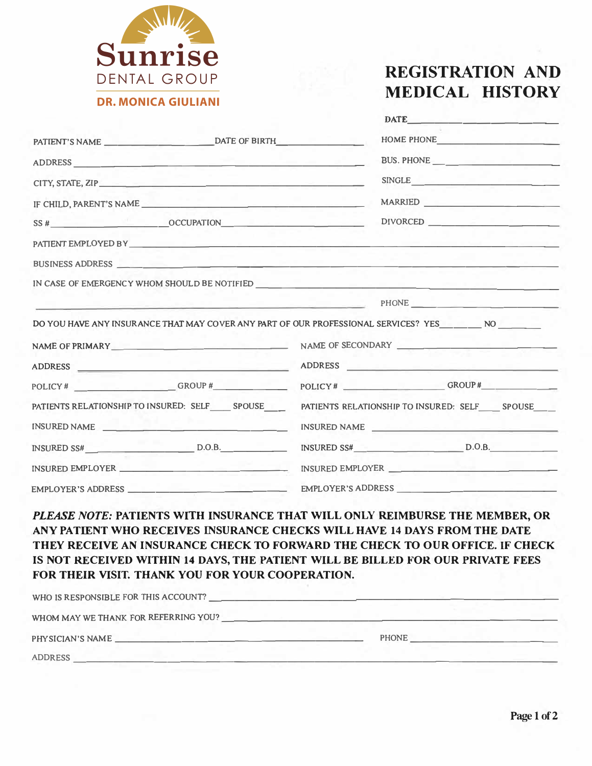

## **REGISTRATION AND MEDICAL HISTORY**

|  |                                                                                                                                                                                                                                                                                                                                                                                                                                                                                                                           |  | DATE                                                                                                                                                                                                                                 |
|--|---------------------------------------------------------------------------------------------------------------------------------------------------------------------------------------------------------------------------------------------------------------------------------------------------------------------------------------------------------------------------------------------------------------------------------------------------------------------------------------------------------------------------|--|--------------------------------------------------------------------------------------------------------------------------------------------------------------------------------------------------------------------------------------|
|  |                                                                                                                                                                                                                                                                                                                                                                                                                                                                                                                           |  | HOME PHONE                                                                                                                                                                                                                           |
|  |                                                                                                                                                                                                                                                                                                                                                                                                                                                                                                                           |  |                                                                                                                                                                                                                                      |
|  | CITY, STATE, ZIP                                                                                                                                                                                                                                                                                                                                                                                                                                                                                                          |  | SINGLE <u>the contract of the contract of the contract of the contract of the contract of the contract of the contract of the contract of the contract of the contract of the contract of the contract of the contract of the co</u> |
|  | IF CHILD, PARENT'S NAME                                                                                                                                                                                                                                                                                                                                                                                                                                                                                                   |  | MARRIED                                                                                                                                                                                                                              |
|  |                                                                                                                                                                                                                                                                                                                                                                                                                                                                                                                           |  |                                                                                                                                                                                                                                      |
|  |                                                                                                                                                                                                                                                                                                                                                                                                                                                                                                                           |  |                                                                                                                                                                                                                                      |
|  |                                                                                                                                                                                                                                                                                                                                                                                                                                                                                                                           |  |                                                                                                                                                                                                                                      |
|  |                                                                                                                                                                                                                                                                                                                                                                                                                                                                                                                           |  |                                                                                                                                                                                                                                      |
|  | PHONE <u>the contract of the contract of the contract of the contract of the contract of the contract of the contract of the contract of the contract of the contract of the contract of the contract of the contract of the con</u>                                                                                                                                                                                                                                                                                      |  |                                                                                                                                                                                                                                      |
|  | DO YOU HAVE ANY INSURANCE THAT MAY COVER ANY PART OF OUR PROFESSIONAL SERVICES? YES_______ NO                                                                                                                                                                                                                                                                                                                                                                                                                             |  |                                                                                                                                                                                                                                      |
|  | NAME OF PRIMARY NAME OF SECONDARY                                                                                                                                                                                                                                                                                                                                                                                                                                                                                         |  |                                                                                                                                                                                                                                      |
|  |                                                                                                                                                                                                                                                                                                                                                                                                                                                                                                                           |  | ADDRESS                                                                                                                                                                                                                              |
|  |                                                                                                                                                                                                                                                                                                                                                                                                                                                                                                                           |  |                                                                                                                                                                                                                                      |
|  |                                                                                                                                                                                                                                                                                                                                                                                                                                                                                                                           |  |                                                                                                                                                                                                                                      |
|  |                                                                                                                                                                                                                                                                                                                                                                                                                                                                                                                           |  |                                                                                                                                                                                                                                      |
|  |                                                                                                                                                                                                                                                                                                                                                                                                                                                                                                                           |  |                                                                                                                                                                                                                                      |
|  |                                                                                                                                                                                                                                                                                                                                                                                                                                                                                                                           |  |                                                                                                                                                                                                                                      |
|  |                                                                                                                                                                                                                                                                                                                                                                                                                                                                                                                           |  | INSURED EMPLOYER                                                                                                                                                                                                                     |
|  |                                                                                                                                                                                                                                                                                                                                                                                                                                                                                                                           |  |                                                                                                                                                                                                                                      |
|  |                                                                                                                                                                                                                                                                                                                                                                                                                                                                                                                           |  |                                                                                                                                                                                                                                      |
|  |                                                                                                                                                                                                                                                                                                                                                                                                                                                                                                                           |  |                                                                                                                                                                                                                                      |
|  |                                                                                                                                                                                                                                                                                                                                                                                                                                                                                                                           |  |                                                                                                                                                                                                                                      |
|  |                                                                                                                                                                                                                                                                                                                                                                                                                                                                                                                           |  |                                                                                                                                                                                                                                      |
|  | FOR THEIR VISIT. THANK YOU FOR YOUR COOPERATION.                                                                                                                                                                                                                                                                                                                                                                                                                                                                          |  |                                                                                                                                                                                                                                      |
|  |                                                                                                                                                                                                                                                                                                                                                                                                                                                                                                                           |  |                                                                                                                                                                                                                                      |
|  |                                                                                                                                                                                                                                                                                                                                                                                                                                                                                                                           |  |                                                                                                                                                                                                                                      |
|  | PATIENTS RELATIONSHIP TO INSURED: SELF SPOUSE<br>INSURED NAME<br>$INSURED SS#$ D.O.B.<br>INSURED EMPLOYER<br>PLEASE NOTE: PATIENTS WITH INSURANCE THAT WILL ONLY REIMBURSE THE MEMBER, OR<br>ANY PATIENT WHO RECEIVES INSURANCE CHECKS WILL HAVE 14 DAYS FROM THE DATE<br>THEY RECEIVE AN INSURANCE CHECK TO FORWARD THE CHECK TO OUR OFFICE. IF CHECK<br>IS NOT RECEIVED WITHIN 14 DAYS, THE PATIENT WILL BE BILLED FOR OUR PRIVATE FEES<br>WHO IS RESPONSIBLE FOR THIS ACCOUNT?<br>WHOM MAY WE THANK FOR REFERRING YOU? |  | PATIENTS RELATIONSHIP TO INSURED: SELF SPOUSE<br>INSURED NAME<br>INSURED SS# $D.O.B.$                                                                                                                                                |

**PHYSICIAN'S NAME \_\_\_\_\_\_\_\_\_\_\_\_\_\_\_\_\_\_ \_ PHONE \_\_\_\_\_\_\_\_\_\_ \_ ADDRESS \_\_\_\_\_\_\_\_\_\_\_\_\_\_\_\_\_\_\_\_\_\_\_\_\_\_\_\_\_\_\_\_\_\_\_ \_**